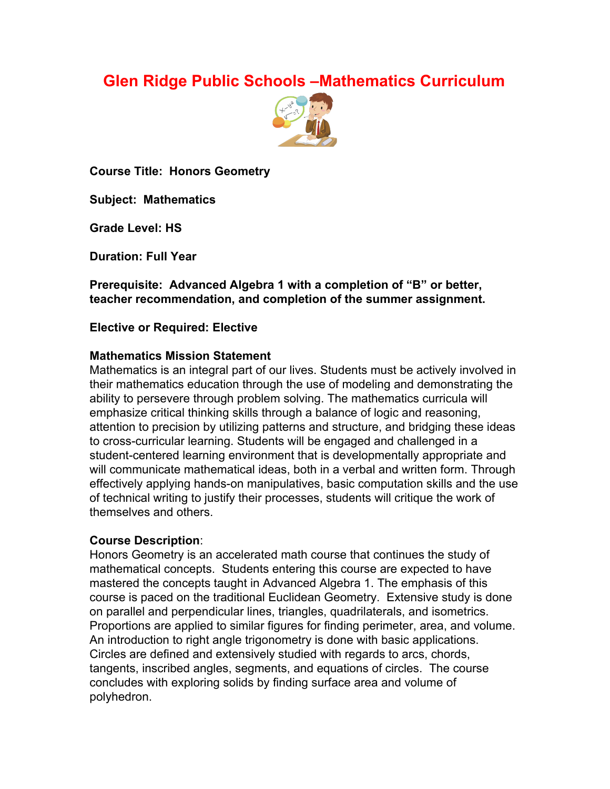# **Glen Ridge Public Schools –Mathematics Curriculum**



**Course Title: Honors Geometry**

**Subject: Mathematics**

**Grade Level: HS**

**Duration: Full Year**

**Prerequisite: Advanced Algebra 1 with a completion of "B" or better, teacher recommendation, and completion of the summer assignment.**

**Elective or Required: Elective**

#### **Mathematics Mission Statement**

Mathematics is an integral part of our lives. Students must be actively involved in their mathematics education through the use of modeling and demonstrating the ability to persevere through problem solving. The mathematics curricula will emphasize critical thinking skills through a balance of logic and reasoning, attention to precision by utilizing patterns and structure, and bridging these ideas to cross-curricular learning. Students will be engaged and challenged in a student-centered learning environment that is developmentally appropriate and will communicate mathematical ideas, both in a verbal and written form. Through effectively applying hands-on manipulatives, basic computation skills and the use of technical writing to justify their processes, students will critique the work of themselves and others.

## **Course Description**:

Honors Geometry is an accelerated math course that continues the study of mathematical concepts. Students entering this course are expected to have mastered the concepts taught in Advanced Algebra 1. The emphasis of this course is paced on the traditional Euclidean Geometry. Extensive study is done on parallel and perpendicular lines, triangles, quadrilaterals, and isometrics. Proportions are applied to similar figures for finding perimeter, area, and volume. An introduction to right angle trigonometry is done with basic applications. Circles are defined and extensively studied with regards to arcs, chords, tangents, inscribed angles, segments, and equations of circles. The course concludes with exploring solids by finding surface area and volume of polyhedron.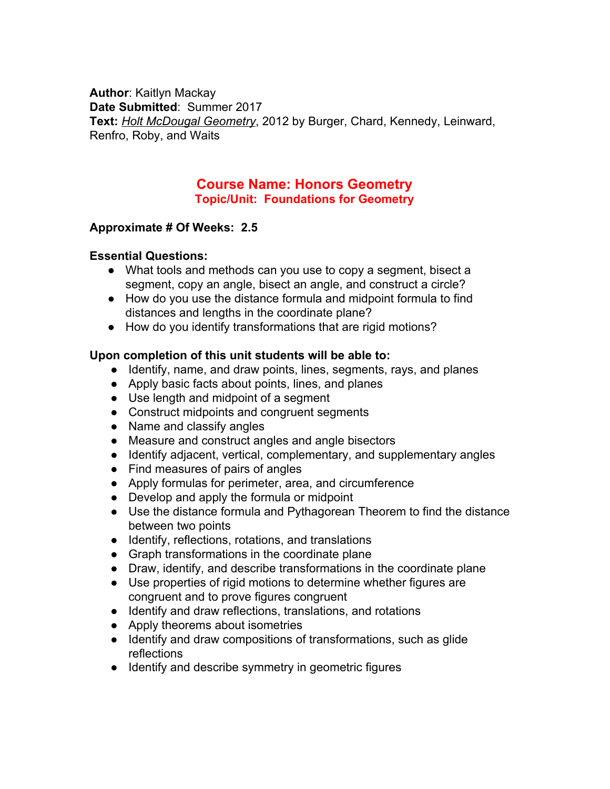**Author**: Kaitlyn Mackay **Date Submitted**: Summer 2017 **Text:** *Holt McDougal Geometry*, 2012 by Burger, Chard, Kennedy, Leinward, Renfro, Roby, and Waits

## **Course Name: Honors Geometry Topic/Unit: Foundations for Geometry**

#### **Approximate # Of Weeks: 2.5**

#### **Essential Questions:**

- What tools and methods can you use to copy a segment, bisect a segment, copy an angle, bisect an angle, and construct a circle?
- How do you use the distance formula and midpoint formula to find distances and lengths in the coordinate plane?
- How do you identify transformations that are rigid motions?

#### **Upon completion of this unit students will be able to:**

- Identify, name, and draw points, lines, segments, rays, and planes
- Apply basic facts about points, lines, and planes
- Use length and midpoint of a segment
- Construct midpoints and congruent segments
- Name and classify angles
- Measure and construct angles and angle bisectors
- Identify adjacent, vertical, complementary, and supplementary angles
- Find measures of pairs of angles
- Apply formulas for perimeter, area, and circumference
- Develop and apply the formula or midpoint
- Use the distance formula and Pythagorean Theorem to find the distance between two points
- Identify, reflections, rotations, and translations
- Graph transformations in the coordinate plane
- Draw, identify, and describe transformations in the coordinate plane
- Use properties of rigid motions to determine whether figures are congruent and to prove figures congruent
- Identify and draw reflections, translations, and rotations
- Apply theorems about isometries
- Identify and draw compositions of transformations, such as glide reflections
- Identify and describe symmetry in geometric figures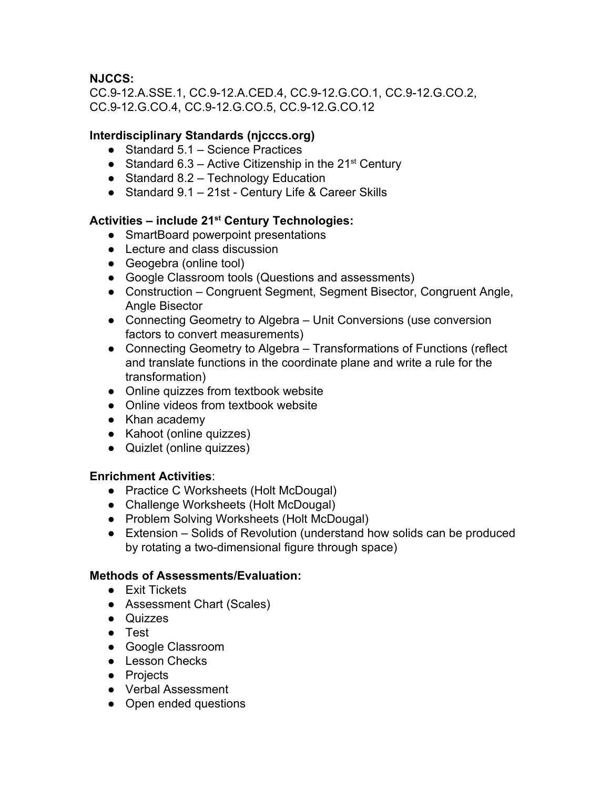## **NJCCS:**

CC.9-12.A.SSE.1, CC.9-12.A.CED.4, CC.9-12.G.CO.1, CC.9-12.G.CO.2, CC.9-12.G.CO.4, CC.9-12.G.CO.5, CC.9-12.G.CO.12

## **Interdisciplinary Standards (njcccs.org)**

- $\bullet$  Standard 5.1 Science Practices
- Standard 6.3 Active Citizenship in the  $21^{st}$  Century
- Standard 8.2 Technology Education
- Standard 9.1 21st Century Life & Career Skills

## **Activities – include 21 st Century Technologies:**

- SmartBoard powerpoint presentations
- Lecture and class discussion
- Geogebra (online tool)
- Google Classroom tools (Questions and assessments)
- Construction Congruent Segment, Segment Bisector, Congruent Angle, Angle Bisector
- Connecting Geometry to Algebra Unit Conversions (use conversion factors to convert measurements)
- Connecting Geometry to Algebra Transformations of Functions (reflect and translate functions in the coordinate plane and write a rule for the transformation)
- Online quizzes from textbook website
- Online videos from textbook website
- Khan academy
- Kahoot (online quizzes)
- Quizlet (online quizzes)

## **Enrichment Activities**:

- Practice C Worksheets (Holt McDougal)
- Challenge Worksheets (Holt McDougal)
- Problem Solving Worksheets (Holt McDougal)
- Extension Solids of Revolution (understand how solids can be produced by rotating a two-dimensional figure through space)

## **Methods of Assessments/Evaluation:**

- Exit Tickets
- Assessment Chart (Scales)
- Quizzes
- Test
- Google Classroom
- Lesson Checks
- Projects
- Verbal Assessment
- Open ended questions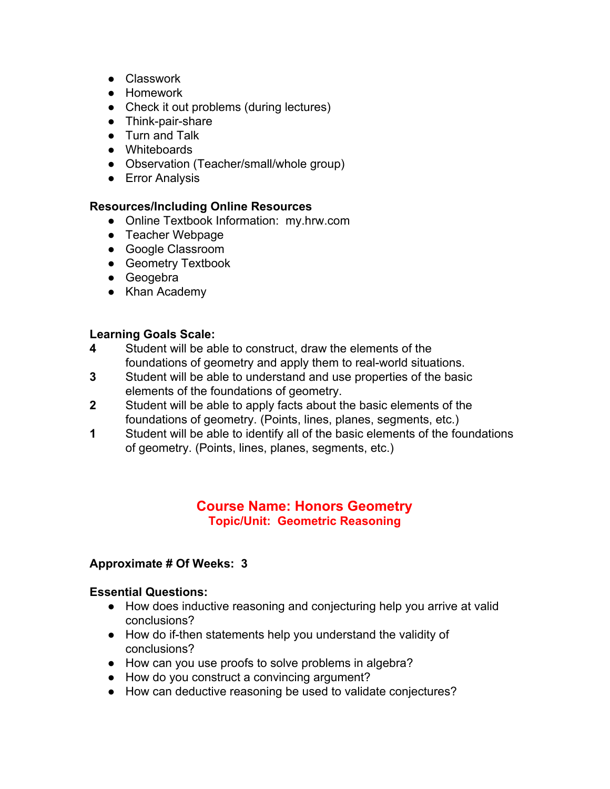- Classwork
- Homework
- Check it out problems (during lectures)
- Think-pair-share
- Turn and Talk
- Whiteboards
- Observation (Teacher/small/whole group)
- **•** Error Analysis

#### **Resources/Including Online Resources**

- Online Textbook Information: my.hrw.com
- Teacher Webpage
- Google Classroom
- Geometry Textbook
- Geogebra
- Khan Academy

# **Learning Goals Scale:**

- **4** Student will be able to construct, draw the elements of the foundations of geometry and apply them to real-world situations.
- **3** Student will be able to understand and use properties of the basic elements of the foundations of geometry.
- **2** Student will be able to apply facts about the basic elements of the foundations of geometry. (Points, lines, planes, segments, etc.)
- **1** Student will be able to identify all of the basic elements of the foundations of geometry. (Points, lines, planes, segments, etc.)

## **Course Name: Honors Geometry Topic/Unit: Geometric Reasoning**

## **Approximate # Of Weeks: 3**

#### **Essential Questions:**

- How does inductive reasoning and conjecturing help you arrive at valid conclusions?
- How do if-then statements help you understand the validity of conclusions?
- How can you use proofs to solve problems in algebra?
- How do you construct a convincing argument?
- How can deductive reasoning be used to validate conjectures?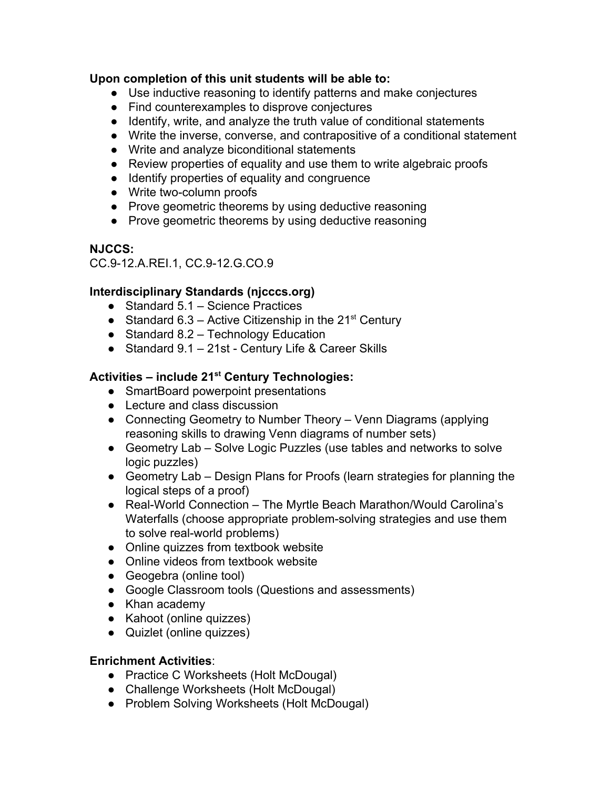#### **Upon completion of this unit students will be able to:**

- Use inductive reasoning to identify patterns and make conjectures
- Find counterexamples to disprove conjectures
- Identify, write, and analyze the truth value of conditional statements
- Write the inverse, converse, and contrapositive of a conditional statement
- Write and analyze biconditional statements
- Review properties of equality and use them to write algebraic proofs
- Identify properties of equality and congruence
- Write two-column proofs
- Prove geometric theorems by using deductive reasoning
- Prove geometric theorems by using deductive reasoning

## **NJCCS:**

CC.9-12.A.REI.1, CC.9-12.G.CO.9

## **Interdisciplinary Standards (njcccs.org)**

- Standard 5.1 Science Practices
- Standard 6.3 Active Citizenship in the  $21^{st}$  Century
- Standard 8.2 Technology Education
- Standard 9.1 21st Century Life & Career Skills

## **Activities – include 21 st Century Technologies:**

- SmartBoard powerpoint presentations
- Lecture and class discussion
- Connecting Geometry to Number Theory Venn Diagrams (applying reasoning skills to drawing Venn diagrams of number sets)
- Geometry Lab Solve Logic Puzzles (use tables and networks to solve logic puzzles)
- Geometry Lab Design Plans for Proofs (learn strategies for planning the logical steps of a proof)
- Real-World Connection The Myrtle Beach Marathon/Would Carolina's Waterfalls (choose appropriate problem-solving strategies and use them to solve real-world problems)
- Online quizzes from textbook website
- Online videos from textbook website
- Geogebra (online tool)
- Google Classroom tools (Questions and assessments)
- Khan academy
- Kahoot (online quizzes)
- Quizlet (online quizzes)

## **Enrichment Activities**:

- Practice C Worksheets (Holt McDougal)
- Challenge Worksheets (Holt McDougal)
- Problem Solving Worksheets (Holt McDougal)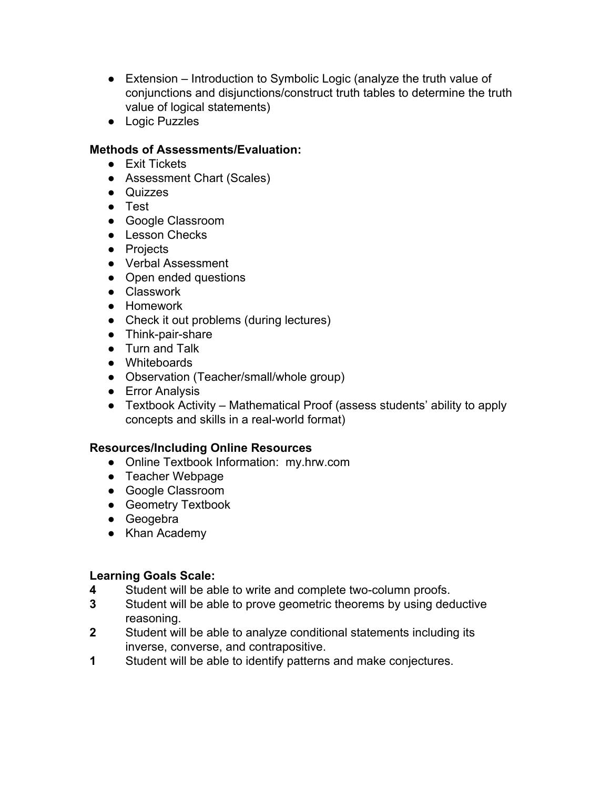- Extension Introduction to Symbolic Logic (analyze the truth value of conjunctions and disjunctions/construct truth tables to determine the truth value of logical statements)
- Logic Puzzles

#### **Methods of Assessments/Evaluation:**

- Exit Tickets
- Assessment Chart (Scales)
- Quizzes
- Test
- Google Classroom
- Lesson Checks
- Projects
- Verbal Assessment
- Open ended questions
- Classwork
- Homework
- Check it out problems (during lectures)
- Think-pair-share
- Turn and Talk
- Whiteboards
- Observation (Teacher/small/whole group)
- Error Analysis
- Textbook Activity Mathematical Proof (assess students' ability to apply concepts and skills in a real-world format)

## **Resources/Including Online Resources**

- Online Textbook Information: my.hrw.com
- Teacher Webpage
- Google Classroom
- Geometry Textbook
- Geogebra
- Khan Academy

- **4** Student will be able to write and complete two-column proofs.
- **3** Student will be able to prove geometric theorems by using deductive reasoning.
- **2** Student will be able to analyze conditional statements including its inverse, converse, and contrapositive.
- **1** Student will be able to identify patterns and make conjectures.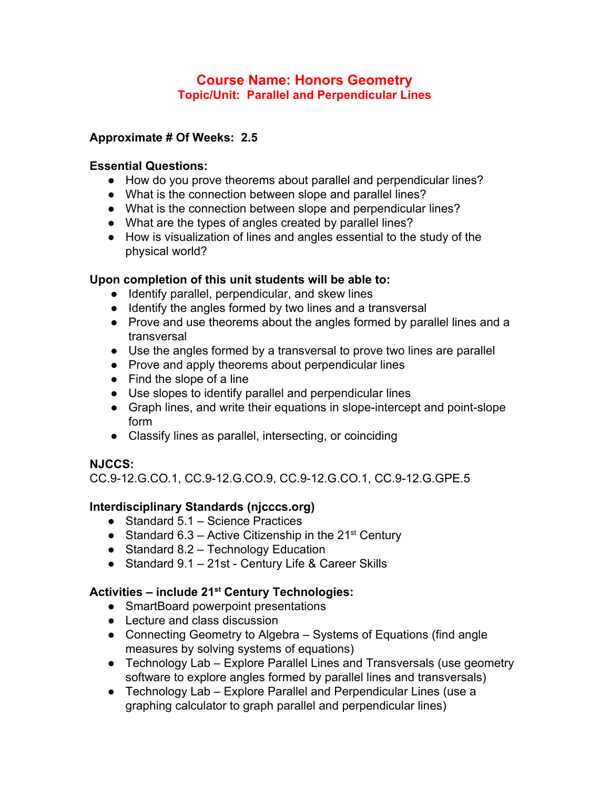## **Course Name: Honors Geometry Topic/Unit: Parallel and Perpendicular Lines**

## **Approximate # Of Weeks: 2.5**

#### **Essential Questions:**

- How do you prove theorems about parallel and perpendicular lines?
- What is the connection between slope and parallel lines?
- What is the connection between slope and perpendicular lines?
- What are the types of angles created by parallel lines?
- How is visualization of lines and angles essential to the study of the physical world?

#### **Upon completion of this unit students will be able to:**

- Identify parallel, perpendicular, and skew lines
- Identify the angles formed by two lines and a transversal
- Prove and use theorems about the angles formed by parallel lines and a transversal
- Use the angles formed by a transversal to prove two lines are parallel
- Prove and apply theorems about perpendicular lines
- Find the slope of a line
- Use slopes to identify parallel and perpendicular lines
- Graph lines, and write their equations in slope-intercept and point-slope form
- Classify lines as parallel, intersecting, or coinciding

## **NJCCS:**

CC.9-12.G.CO.1, CC.9-12.G.CO.9, CC.9-12.G.CO.1, CC.9-12.G.GPE.5

## **Interdisciplinary Standards (njcccs.org)**

- Standard 5.1 Science Practices
- Standard 6.3 Active Citizenship in the  $21<sup>st</sup>$  Century
- Standard 8.2 Technology Education
- Standard 9.1 21st Century Life & Career Skills

## **Activities – include 21 st Century Technologies:**

- SmartBoard powerpoint presentations
- Lecture and class discussion
- Connecting Geometry to Algebra Systems of Equations (find angle measures by solving systems of equations)
- Technology Lab Explore Parallel Lines and Transversals (use geometry software to explore angles formed by parallel lines and transversals)
- Technology Lab Explore Parallel and Perpendicular Lines (use a graphing calculator to graph parallel and perpendicular lines)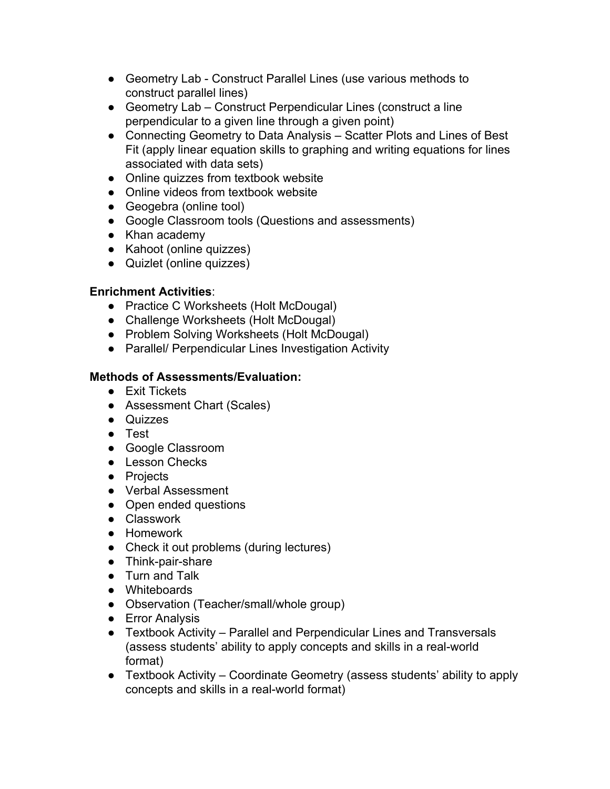- Geometry Lab Construct Parallel Lines (use various methods to construct parallel lines)
- Geometry Lab Construct Perpendicular Lines (construct a line perpendicular to a given line through a given point)
- Connecting Geometry to Data Analysis Scatter Plots and Lines of Best Fit (apply linear equation skills to graphing and writing equations for lines associated with data sets)
- Online quizzes from textbook website
- Online videos from textbook website
- Geogebra (online tool)
- Google Classroom tools (Questions and assessments)
- Khan academy
- Kahoot (online quizzes)
- Quizlet (online quizzes)

## **Enrichment Activities**:

- Practice C Worksheets (Holt McDougal)
- Challenge Worksheets (Holt McDougal)
- Problem Solving Worksheets (Holt McDougal)
- Parallel/ Perpendicular Lines Investigation Activity

## **Methods of Assessments/Evaluation:**

- Exit Tickets
- Assessment Chart (Scales)
- Quizzes
- Test
- Google Classroom
- Lesson Checks
- Projects
- Verbal Assessment
- Open ended questions
- Classwork
- Homework
- Check it out problems (during lectures)
- Think-pair-share
- Turn and Talk
- Whiteboards
- Observation (Teacher/small/whole group)
- **•** Error Analysis
- Textbook Activity Parallel and Perpendicular Lines and Transversals (assess students' ability to apply concepts and skills in a real-world format)
- Textbook Activity Coordinate Geometry (assess students' ability to apply concepts and skills in a real-world format)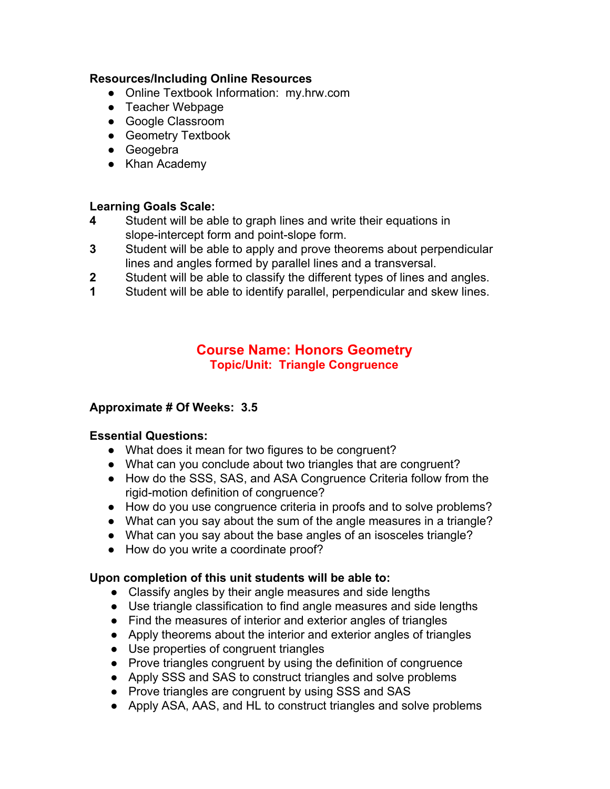#### **Resources/Including Online Resources**

- Online Textbook Information: my.hrw.com
- Teacher Webpage
- Google Classroom
- Geometry Textbook
- Geogebra
- Khan Academy

# **Learning Goals Scale:**

- **4** Student will be able to graph lines and write their equations in slope-intercept form and point-slope form.
- **3** Student will be able to apply and prove theorems about perpendicular lines and angles formed by parallel lines and a transversal.
- **2** Student will be able to classify the different types of lines and angles.
- **1** Student will be able to identify parallel, perpendicular and skew lines.

## **Course Name: Honors Geometry Topic/Unit: Triangle Congruence**

#### **Approximate # Of Weeks: 3.5**

#### **Essential Questions:**

- What does it mean for two figures to be congruent?
- What can you conclude about two triangles that are congruent?
- How do the SSS, SAS, and ASA Congruence Criteria follow from the rigid-motion definition of congruence?
- How do you use congruence criteria in proofs and to solve problems?
- What can you say about the sum of the angle measures in a triangle?
- What can you say about the base angles of an isosceles triangle?
- How do you write a coordinate proof?

#### **Upon completion of this unit students will be able to:**

- Classify angles by their angle measures and side lengths
- Use triangle classification to find angle measures and side lengths
- Find the measures of interior and exterior angles of triangles
- Apply theorems about the interior and exterior angles of triangles
- Use properties of congruent triangles
- Prove triangles congruent by using the definition of congruence
- Apply SSS and SAS to construct triangles and solve problems
- Prove triangles are congruent by using SSS and SAS
- Apply ASA, AAS, and HL to construct triangles and solve problems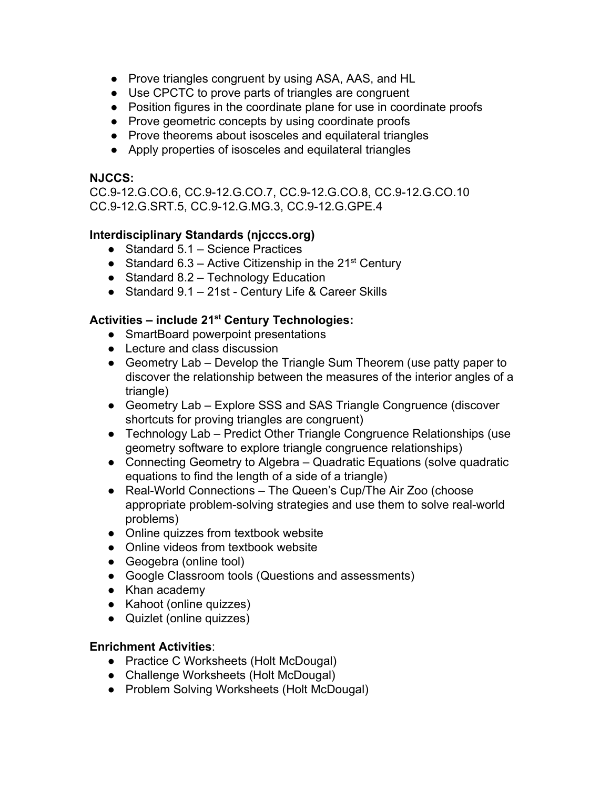- Prove triangles congruent by using ASA, AAS, and HL
- Use CPCTC to prove parts of triangles are congruent
- Position figures in the coordinate plane for use in coordinate proofs
- Prove geometric concepts by using coordinate proofs
- Prove theorems about isosceles and equilateral triangles
- Apply properties of isosceles and equilateral triangles

#### **NJCCS:**

CC.9-12.G.CO.6, CC.9-12.G.CO.7, CC.9-12.G.CO.8, CC.9-12.G.CO.10 CC.9-12.G.SRT.5, CC.9-12.G.MG.3, CC.9-12.G.GPE.4

## **Interdisciplinary Standards (njcccs.org)**

- Standard 5.1 Science Practices
- Standard 6.3 Active Citizenship in the  $21^{st}$  Century
- Standard 8.2 Technology Education
- Standard 9.1 21st Century Life & Career Skills

## **Activities – include 21 st Century Technologies:**

- SmartBoard powerpoint presentations
- Lecture and class discussion
- Geometry Lab Develop the Triangle Sum Theorem (use patty paper to discover the relationship between the measures of the interior angles of a triangle)
- Geometry Lab Explore SSS and SAS Triangle Congruence (discover shortcuts for proving triangles are congruent)
- Technology Lab Predict Other Triangle Congruence Relationships (use geometry software to explore triangle congruence relationships)
- Connecting Geometry to Algebra Quadratic Equations (solve quadratic equations to find the length of a side of a triangle)
- Real-World Connections The Queen's Cup/The Air Zoo (choose appropriate problem-solving strategies and use them to solve real-world problems)
- Online quizzes from textbook website
- Online videos from textbook website
- Geogebra (online tool)
- Google Classroom tools (Questions and assessments)
- Khan academy
- Kahoot (online quizzes)
- Quizlet (online quizzes)

#### **Enrichment Activities**:

- Practice C Worksheets (Holt McDougal)
- Challenge Worksheets (Holt McDougal)
- Problem Solving Worksheets (Holt McDougal)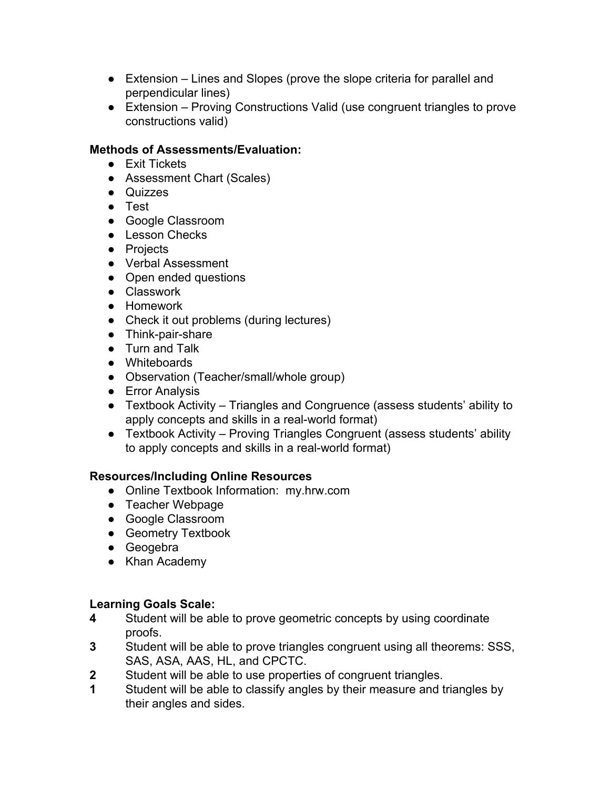- Extension Lines and Slopes (prove the slope criteria for parallel and perpendicular lines)
- Extension Proving Constructions Valid (use congruent triangles to prove constructions valid)

## **Methods of Assessments/Evaluation:**

- Exit Tickets
- Assessment Chart (Scales)
- Quizzes
- Test
- Google Classroom
- Lesson Checks
- Projects
- Verbal Assessment
- Open ended questions
- Classwork
- Homework
- Check it out problems (during lectures)
- Think-pair-share
- Turn and Talk
- Whiteboards
- Observation (Teacher/small/whole group)
- Error Analysis
- Textbook Activity Triangles and Congruence (assess students' ability to apply concepts and skills in a real-world format)
- Textbook Activity Proving Triangles Congruent (assess students' ability to apply concepts and skills in a real-world format)

## **Resources/Including Online Resources**

- Online Textbook Information: my.hrw.com
- Teacher Webpage
- Google Classroom
- **•** Geometry Textbook
- Geogebra
- Khan Academy

- **4** Student will be able to prove geometric concepts by using coordinate proofs.
- **3** Student will be able to prove triangles congruent using all theorems: SSS, SAS, ASA, AAS, HL, and CPCTC.
- **2** Student will be able to use properties of congruent triangles.
- **1** Student will be able to classify angles by their measure and triangles by their angles and sides.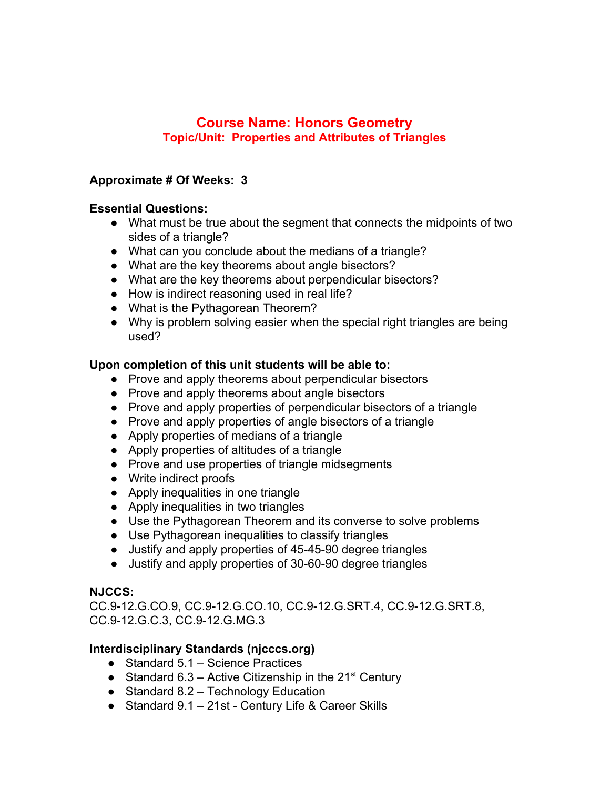## **Course Name: Honors Geometry Topic/Unit: Properties and Attributes of Triangles**

#### **Approximate # Of Weeks: 3**

#### **Essential Questions:**

- What must be true about the segment that connects the midpoints of two sides of a triangle?
- What can you conclude about the medians of a triangle?
- What are the key theorems about angle bisectors?
- What are the key theorems about perpendicular bisectors?
- How is indirect reasoning used in real life?
- What is the Pythagorean Theorem?
- Why is problem solving easier when the special right triangles are being used?

#### **Upon completion of this unit students will be able to:**

- Prove and apply theorems about perpendicular bisectors
- Prove and apply theorems about angle bisectors
- Prove and apply properties of perpendicular bisectors of a triangle
- Prove and apply properties of angle bisectors of a triangle
- Apply properties of medians of a triangle
- Apply properties of altitudes of a triangle
- Prove and use properties of triangle midsegments
- Write indirect proofs
- Apply inequalities in one triangle
- Apply inequalities in two triangles
- Use the Pythagorean Theorem and its converse to solve problems
- Use Pythagorean inequalities to classify triangles
- Justify and apply properties of 45-45-90 degree triangles
- Justify and apply properties of 30-60-90 degree triangles

#### **NJCCS:**

CC.9-12.G.CO.9, CC.9-12.G.CO.10, CC.9-12.G.SRT.4, CC.9-12.G.SRT.8, CC.9-12.G.C.3, CC.9-12.G.MG.3

## **Interdisciplinary Standards (njcccs.org)**

- Standard 5.1 Science Practices
- Standard 6.3 Active Citizenship in the  $21^{st}$  Century
- Standard 8.2 Technology Education
- Standard 9.1 21st Century Life & Career Skills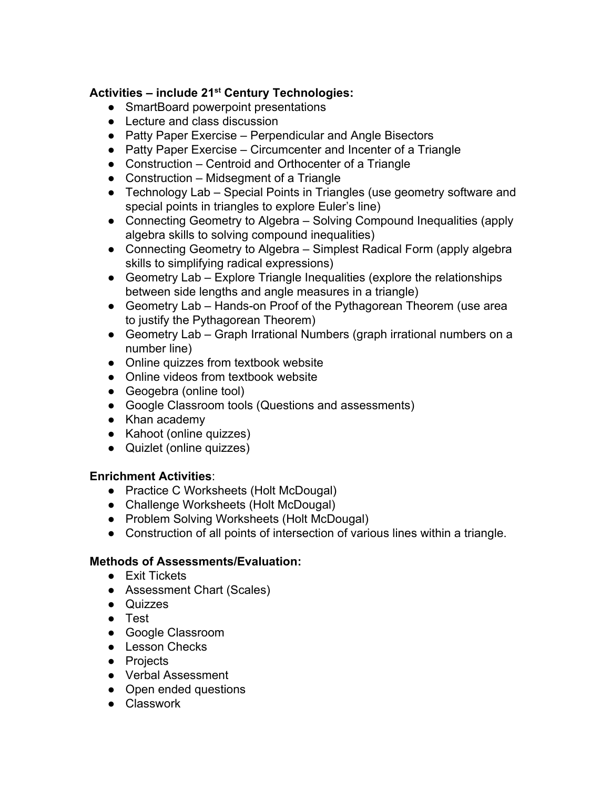## **Activities – include 21 st Century Technologies:**

- SmartBoard powerpoint presentations
- Lecture and class discussion
- Patty Paper Exercise Perpendicular and Angle Bisectors
- Patty Paper Exercise Circumcenter and Incenter of a Triangle
- Construction Centroid and Orthocenter of a Triangle
- Construction Midsegment of a Triangle
- Technology Lab Special Points in Triangles (use geometry software and special points in triangles to explore Euler's line)
- Connecting Geometry to Algebra Solving Compound Inequalities (apply algebra skills to solving compound inequalities)
- Connecting Geometry to Algebra Simplest Radical Form (apply algebra skills to simplifying radical expressions)
- Geometry Lab Explore Triangle Inequalities (explore the relationships between side lengths and angle measures in a triangle)
- Geometry Lab Hands-on Proof of the Pythagorean Theorem (use area to justify the Pythagorean Theorem)
- Geometry Lab Graph Irrational Numbers (graph irrational numbers on a number line)
- Online quizzes from textbook website
- Online videos from textbook website
- Geogebra (online tool)
- Google Classroom tools (Questions and assessments)
- Khan academy
- Kahoot (online quizzes)
- Quizlet (online quizzes)

## **Enrichment Activities**:

- Practice C Worksheets (Holt McDougal)
- Challenge Worksheets (Holt McDougal)
- Problem Solving Worksheets (Holt McDougal)
- Construction of all points of intersection of various lines within a triangle.

## **Methods of Assessments/Evaluation:**

- Exit Tickets
- Assessment Chart (Scales)
- Quizzes
- Test
- Google Classroom
- Lesson Checks
- Projects
- Verbal Assessment
- Open ended questions
- Classwork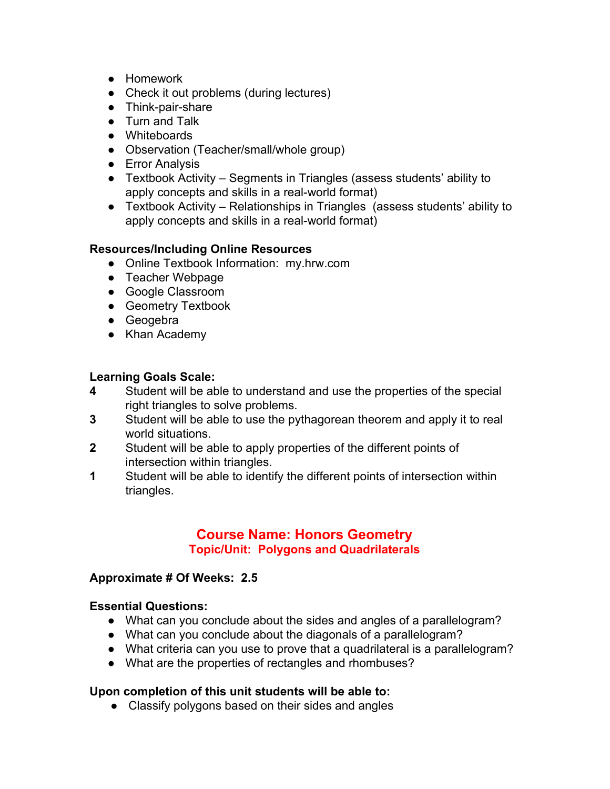- Homework
- Check it out problems (during lectures)
- Think-pair-share
- Turn and Talk
- Whiteboards
- Observation (Teacher/small/whole group)
- Error Analysis
- Textbook Activity Segments in Triangles (assess students' ability to apply concepts and skills in a real-world format)
- Textbook Activity Relationships in Triangles (assess students' ability to apply concepts and skills in a real-world format)

#### **Resources/Including Online Resources**

- Online Textbook Information: my.hrw.com
- Teacher Webpage
- Google Classroom
- Geometry Textbook
- Geogebra
- Khan Academy

# **Learning Goals Scale:**

- **4** Student will be able to understand and use the properties of the special right triangles to solve problems.
- **3** Student will be able to use the pythagorean theorem and apply it to real world situations.
- **2** Student will be able to apply properties of the different points of intersection within triangles.
- **1** Student will be able to identify the different points of intersection within triangles.

## **Course Name: Honors Geometry Topic/Unit: Polygons and Quadrilaterals**

#### **Approximate # Of Weeks: 2.5**

#### **Essential Questions:**

- What can you conclude about the sides and angles of a parallelogram?
- What can you conclude about the diagonals of a parallelogram?
- What criteria can you use to prove that a quadrilateral is a parallelogram?
- What are the properties of rectangles and rhombuses?

#### **Upon completion of this unit students will be able to:**

• Classify polygons based on their sides and angles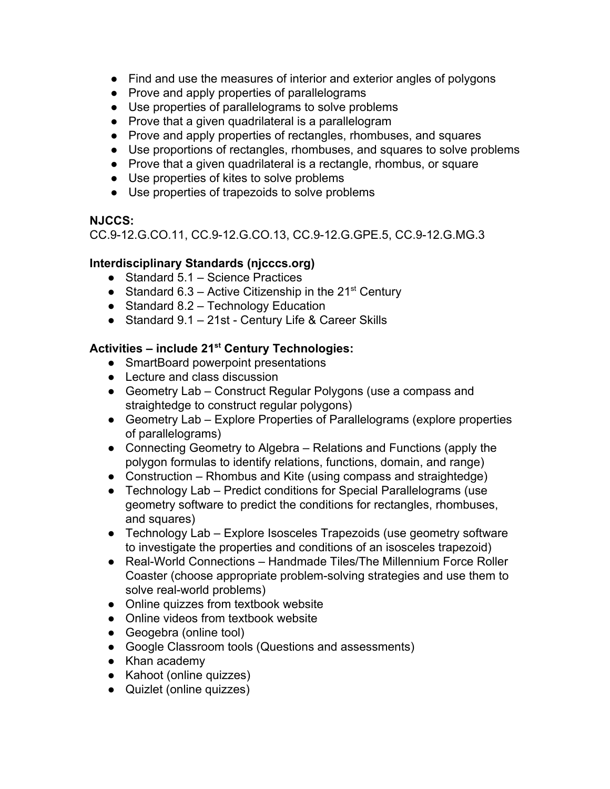- Find and use the measures of interior and exterior angles of polygons
- Prove and apply properties of parallelograms
- Use properties of parallelograms to solve problems
- Prove that a given quadrilateral is a parallelogram
- Prove and apply properties of rectangles, rhombuses, and squares
- Use proportions of rectangles, rhombuses, and squares to solve problems
- Prove that a given quadrilateral is a rectangle, rhombus, or square
- Use properties of kites to solve problems
- Use properties of trapezoids to solve problems

## **NJCCS:**

CC.9-12.G.CO.11, CC.9-12.G.CO.13, CC.9-12.G.GPE.5, CC.9-12.G.MG.3

## **Interdisciplinary Standards (njcccs.org)**

- Standard 5.1 Science Practices
- Standard 6.3 Active Citizenship in the  $21^{st}$  Century
- Standard 8.2 Technology Education
- Standard 9.1 21st Century Life & Career Skills

## **Activities – include 21 st Century Technologies:**

- SmartBoard powerpoint presentations
- Lecture and class discussion
- Geometry Lab Construct Regular Polygons (use a compass and straightedge to construct regular polygons)
- Geometry Lab Explore Properties of Parallelograms (explore properties of parallelograms)
- Connecting Geometry to Algebra Relations and Functions (apply the polygon formulas to identify relations, functions, domain, and range)
- Construction Rhombus and Kite (using compass and straightedge)
- Technology Lab Predict conditions for Special Parallelograms (use geometry software to predict the conditions for rectangles, rhombuses, and squares)
- Technology Lab Explore Isosceles Trapezoids (use geometry software to investigate the properties and conditions of an isosceles trapezoid)
- Real-World Connections Handmade Tiles/The Millennium Force Roller Coaster (choose appropriate problem-solving strategies and use them to solve real-world problems)
- Online quizzes from textbook website
- Online videos from textbook website
- Geogebra (online tool)
- Google Classroom tools (Questions and assessments)
- Khan academy
- Kahoot (online quizzes)
- Quizlet (online quizzes)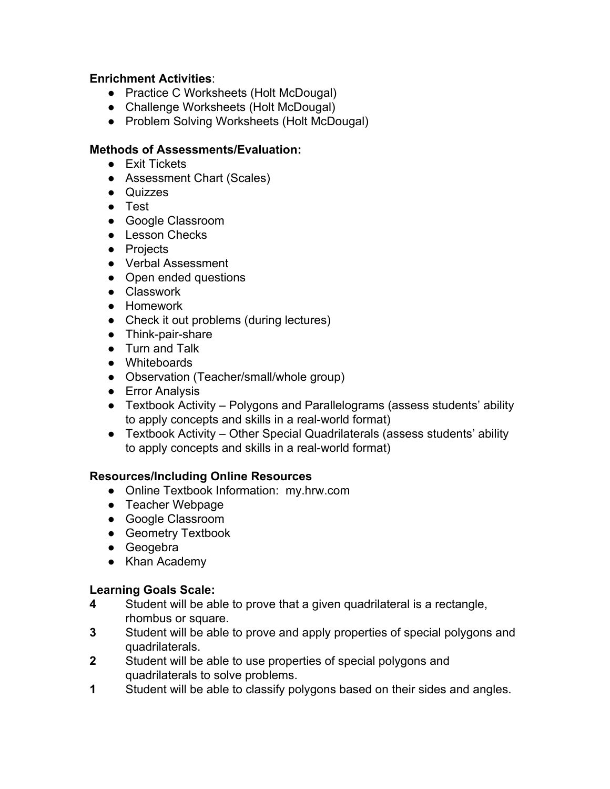#### **Enrichment Activities**:

- Practice C Worksheets (Holt McDougal)
- Challenge Worksheets (Holt McDougal)
- Problem Solving Worksheets (Holt McDougal)

#### **Methods of Assessments/Evaluation:**

- Exit Tickets
- Assessment Chart (Scales)
- Quizzes
- Test
- Google Classroom
- Lesson Checks
- Projects
- Verbal Assessment
- Open ended questions
- Classwork
- Homework
- Check it out problems (during lectures)
- Think-pair-share
- Turn and Talk
- Whiteboards
- Observation (Teacher/small/whole group)
- Error Analysis
- Textbook Activity Polygons and Parallelograms (assess students' ability to apply concepts and skills in a real-world format)
- Textbook Activity Other Special Quadrilaterals (assess students' ability to apply concepts and skills in a real-world format)

#### **Resources/Including Online Resources**

- Online Textbook Information: my.hrw.com
- Teacher Webpage
- Google Classroom
- **•** Geometry Textbook
- Geogebra
- Khan Academy

- **4** Student will be able to prove that a given quadrilateral is a rectangle, rhombus or square.
- **3** Student will be able to prove and apply properties of special polygons and quadrilaterals.
- **2** Student will be able to use properties of special polygons and quadrilaterals to solve problems.
- **1** Student will be able to classify polygons based on their sides and angles.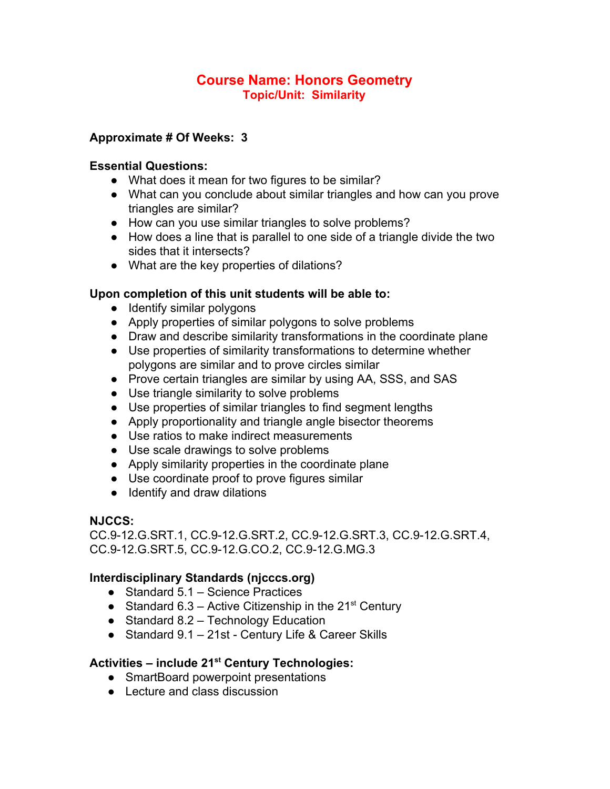## **Course Name: Honors Geometry Topic/Unit: Similarity**

## **Approximate # Of Weeks: 3**

#### **Essential Questions:**

- What does it mean for two figures to be similar?
- What can you conclude about similar triangles and how can you prove triangles are similar?
- How can you use similar triangles to solve problems?
- How does a line that is parallel to one side of a triangle divide the two sides that it intersects?
- What are the key properties of dilations?

#### **Upon completion of this unit students will be able to:**

- Identify similar polygons
- Apply properties of similar polygons to solve problems
- Draw and describe similarity transformations in the coordinate plane
- Use properties of similarity transformations to determine whether polygons are similar and to prove circles similar
- Prove certain triangles are similar by using AA, SSS, and SAS
- Use triangle similarity to solve problems
- Use properties of similar triangles to find segment lengths
- Apply proportionality and triangle angle bisector theorems
- Use ratios to make indirect measurements
- Use scale drawings to solve problems
- Apply similarity properties in the coordinate plane
- Use coordinate proof to prove figures similar
- Identify and draw dilations

#### **NJCCS:**

CC.9-12.G.SRT.1, CC.9-12.G.SRT.2, CC.9-12.G.SRT.3, CC.9-12.G.SRT.4, CC.9-12.G.SRT.5, CC.9-12.G.CO.2, CC.9-12.G.MG.3

#### **Interdisciplinary Standards (njcccs.org)**

- Standard 5.1 Science Practices
- Standard 6.3 Active Citizenship in the  $21<sup>st</sup>$  Century
- Standard 8.2 Technology Education
- Standard 9.1 21st Century Life & Career Skills

## **Activities – include 21 st Century Technologies:**

- SmartBoard powerpoint presentations
- Lecture and class discussion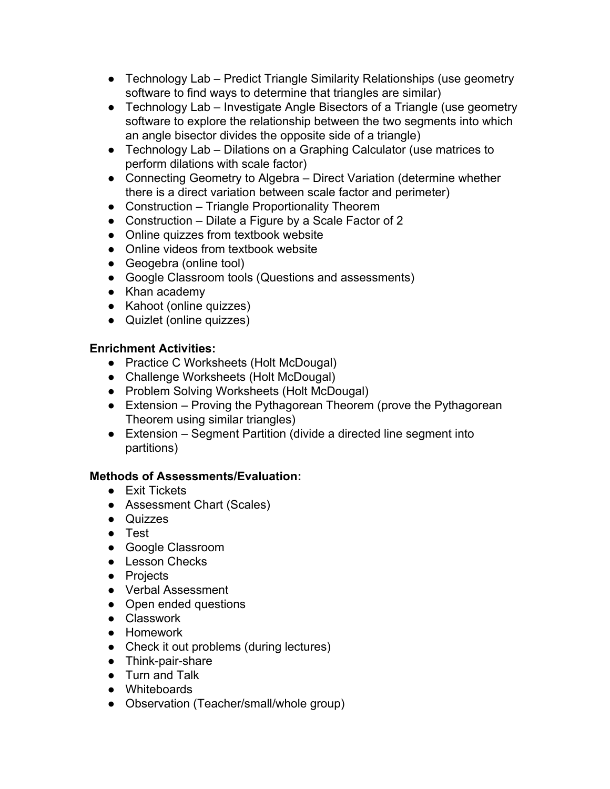- Technology Lab Predict Triangle Similarity Relationships (use geometry software to find ways to determine that triangles are similar)
- Technology Lab Investigate Angle Bisectors of a Triangle (use geometry software to explore the relationship between the two segments into which an angle bisector divides the opposite side of a triangle)
- Technology Lab Dilations on a Graphing Calculator (use matrices to perform dilations with scale factor)
- Connecting Geometry to Algebra Direct Variation (determine whether there is a direct variation between scale factor and perimeter)
- Construction Triangle Proportionality Theorem
- Construction Dilate a Figure by a Scale Factor of 2
- Online quizzes from textbook website
- Online videos from textbook website
- Geogebra (online tool)
- Google Classroom tools (Questions and assessments)
- Khan academy
- Kahoot (online quizzes)
- Quizlet (online quizzes)

## **Enrichment Activities:**

- Practice C Worksheets (Holt McDougal)
- Challenge Worksheets (Holt McDougal)
- Problem Solving Worksheets (Holt McDougal)
- Extension Proving the Pythagorean Theorem (prove the Pythagorean Theorem using similar triangles)
- Extension Segment Partition (divide a directed line segment into partitions)

## **Methods of Assessments/Evaluation:**

- Exit Tickets
- Assessment Chart (Scales)
- Quizzes
- Test
- Google Classroom
- Lesson Checks
- Projects
- Verbal Assessment
- Open ended questions
- Classwork
- Homework
- Check it out problems (during lectures)
- Think-pair-share
- Turn and Talk
- Whiteboards
- Observation (Teacher/small/whole group)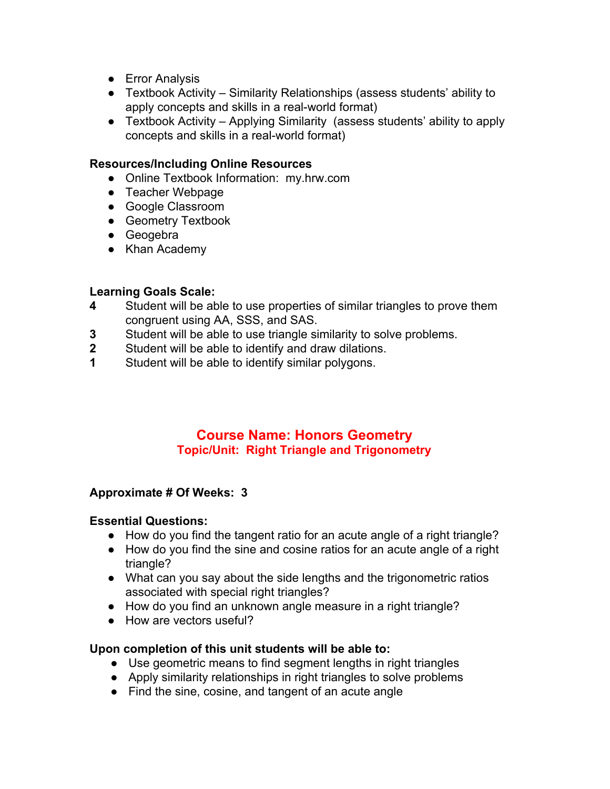- Error Analysis
- Textbook Activity Similarity Relationships (assess students' ability to apply concepts and skills in a real-world format)
- Textbook Activity Applying Similarity (assess students' ability to apply concepts and skills in a real-world format)

#### **Resources/Including Online Resources**

- Online Textbook Information: my.hrw.com
- Teacher Webpage
- Google Classroom
- Geometry Textbook
- Geogebra
- Khan Academy

# **Learning Goals Scale:**

- **4** Student will be able to use properties of similar triangles to prove them congruent using AA, SSS, and SAS.
- **3** Student will be able to use triangle similarity to solve problems.
- **2** Student will be able to identify and draw dilations.
- **1** Student will be able to identify similar polygons.

## **Course Name: Honors Geometry Topic/Unit: Right Triangle and Trigonometry**

## **Approximate # Of Weeks: 3**

#### **Essential Questions:**

- How do you find the tangent ratio for an acute angle of a right triangle?
- How do you find the sine and cosine ratios for an acute angle of a right triangle?
- What can you say about the side lengths and the trigonometric ratios associated with special right triangles?
- How do you find an unknown angle measure in a right triangle?
- How are vectors useful?

#### **Upon completion of this unit students will be able to:**

- Use geometric means to find segment lengths in right triangles
- Apply similarity relationships in right triangles to solve problems
- Find the sine, cosine, and tangent of an acute angle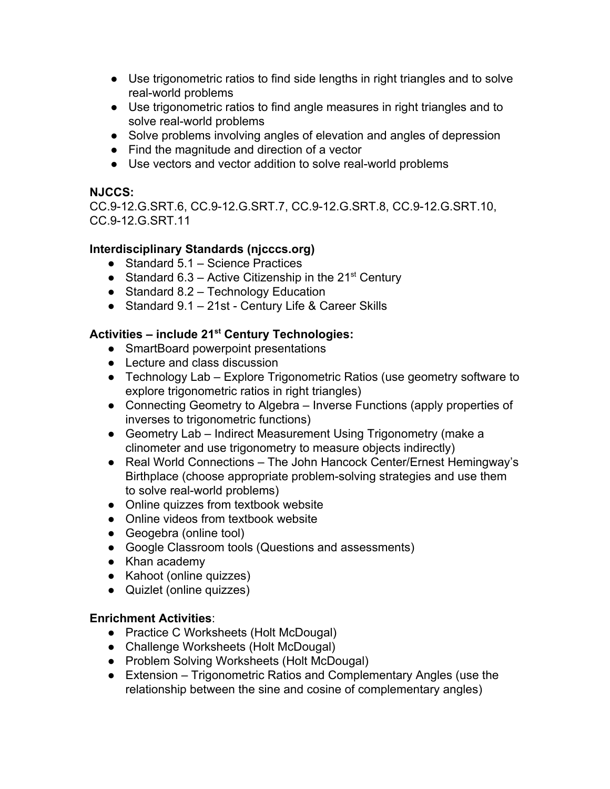- Use trigonometric ratios to find side lengths in right triangles and to solve real-world problems
- Use trigonometric ratios to find angle measures in right triangles and to solve real-world problems
- Solve problems involving angles of elevation and angles of depression
- Find the magnitude and direction of a vector
- Use vectors and vector addition to solve real-world problems

## **NJCCS:**

CC.9-12.G.SRT.6, CC.9-12.G.SRT.7, CC.9-12.G.SRT.8, CC.9-12.G.SRT.10, CC.9-12.G.SRT.11

## **Interdisciplinary Standards (njcccs.org)**

- Standard 5.1 Science Practices
- Standard 6.3 Active Citizenship in the  $21^{st}$  Century
- Standard 8.2 Technology Education
- Standard 9.1 21st Century Life & Career Skills

## **Activities – include 21 st Century Technologies:**

- SmartBoard powerpoint presentations
- Lecture and class discussion
- Technology Lab Explore Trigonometric Ratios (use geometry software to explore trigonometric ratios in right triangles)
- Connecting Geometry to Algebra Inverse Functions (apply properties of inverses to trigonometric functions)
- Geometry Lab Indirect Measurement Using Trigonometry (make a clinometer and use trigonometry to measure objects indirectly)
- Real World Connections The John Hancock Center/Ernest Hemingway's Birthplace (choose appropriate problem-solving strategies and use them to solve real-world problems)
- Online quizzes from textbook website
- Online videos from textbook website
- Geogebra (online tool)
- Google Classroom tools (Questions and assessments)
- Khan academy
- Kahoot (online quizzes)
- Quizlet (online quizzes)

## **Enrichment Activities**:

- Practice C Worksheets (Holt McDougal)
- Challenge Worksheets (Holt McDougal)
- Problem Solving Worksheets (Holt McDougal)
- Extension Trigonometric Ratios and Complementary Angles (use the relationship between the sine and cosine of complementary angles)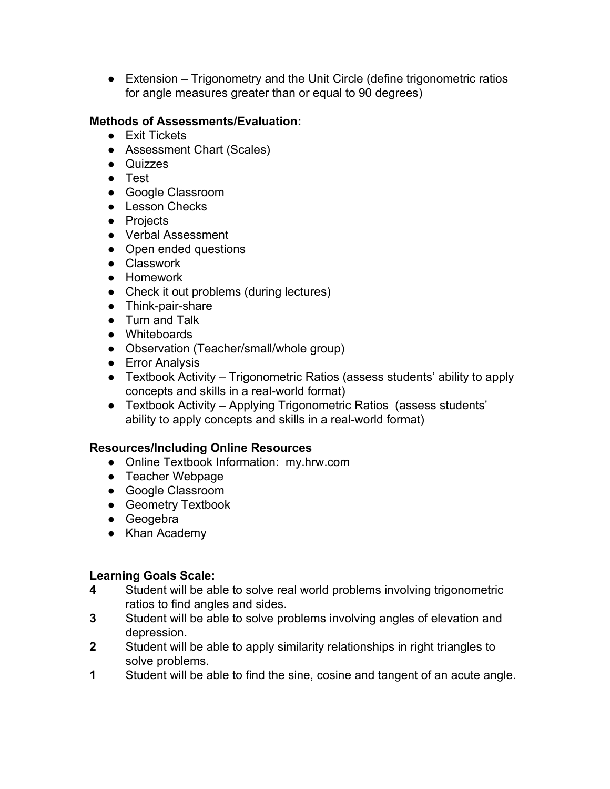• Extension – Trigonometry and the Unit Circle (define trigonometric ratios for angle measures greater than or equal to 90 degrees)

#### **Methods of Assessments/Evaluation:**

- Exit Tickets
- Assessment Chart (Scales)
- Quizzes
- Test
- Google Classroom
- Lesson Checks
- Projects
- Verbal Assessment
- Open ended questions
- Classwork
- Homework
- Check it out problems (during lectures)
- Think-pair-share
- Turn and Talk
- Whiteboards
- Observation (Teacher/small/whole group)
- Error Analysis
- Textbook Activity Trigonometric Ratios (assess students' ability to apply concepts and skills in a real-world format)
- Textbook Activity Applying Trigonometric Ratios (assess students' ability to apply concepts and skills in a real-world format)

#### **Resources/Including Online Resources**

- Online Textbook Information: my.hrw.com
- Teacher Webpage
- Google Classroom
- Geometry Textbook
- Geogebra
- Khan Academy

- **4** Student will be able to solve real world problems involving trigonometric ratios to find angles and sides.
- **3** Student will be able to solve problems involving angles of elevation and depression.
- **2** Student will be able to apply similarity relationships in right triangles to solve problems.
- **1** Student will be able to find the sine, cosine and tangent of an acute angle.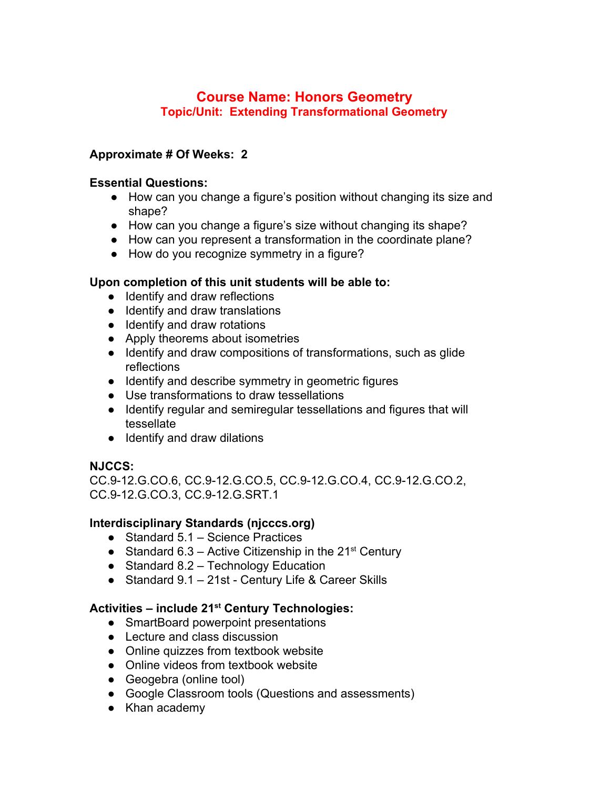## **Course Name: Honors Geometry Topic/Unit: Extending Transformational Geometry**

#### **Approximate # Of Weeks: 2**

#### **Essential Questions:**

- How can you change a figure's position without changing its size and shape?
- How can you change a figure's size without changing its shape?
- How can you represent a transformation in the coordinate plane?
- How do you recognize symmetry in a figure?

#### **Upon completion of this unit students will be able to:**

- Identify and draw reflections
- Identify and draw translations
- Identify and draw rotations
- Apply theorems about isometries
- Identify and draw compositions of transformations, such as glide reflections
- Identify and describe symmetry in geometric figures
- Use transformations to draw tessellations
- Identify regular and semiregular tessellations and figures that will tessellate
- Identify and draw dilations

#### **NJCCS:**

CC.9-12.G.CO.6, CC.9-12.G.CO.5, CC.9-12.G.CO.4, CC.9-12.G.CO.2, CC.9-12.G.CO.3, CC.9-12.G.SRT.1

#### **Interdisciplinary Standards (njcccs.org)**

- Standard 5.1 Science Practices
- Standard 6.3 Active Citizenship in the  $21^{st}$  Century
- $\bullet$  Standard 8.2 Technology Education
- Standard 9.1 21st Century Life & Career Skills

## **Activities – include 21 st Century Technologies:**

- SmartBoard powerpoint presentations
- Lecture and class discussion
- Online quizzes from textbook website
- Online videos from textbook website
- Geogebra (online tool)
- Google Classroom tools (Questions and assessments)
- Khan academy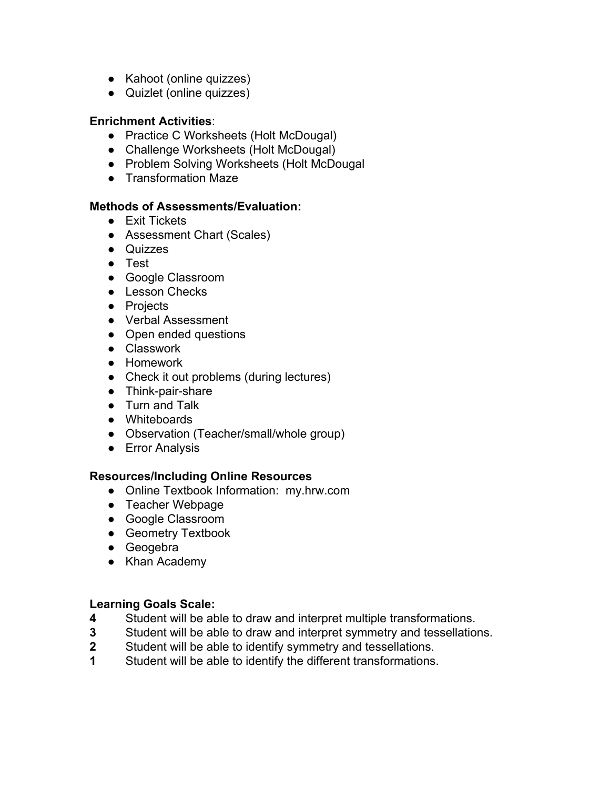- Kahoot (online quizzes)
- Quizlet (online quizzes)

#### **Enrichment Activities**:

- Practice C Worksheets (Holt McDougal)
- Challenge Worksheets (Holt McDougal)
- Problem Solving Worksheets (Holt McDougal
- Transformation Maze

#### **Methods of Assessments/Evaluation:**

- Exit Tickets
- Assessment Chart (Scales)
- Quizzes
- Test
- Google Classroom
- Lesson Checks
- Projects
- Verbal Assessment
- Open ended questions
- Classwork
- Homework
- Check it out problems (during lectures)
- Think-pair-share
- Turn and Talk
- Whiteboards
- Observation (Teacher/small/whole group)
- Error Analysis

#### **Resources/Including Online Resources**

- Online Textbook Information: my.hrw.com
- Teacher Webpage
- Google Classroom
- Geometry Textbook
- Geogebra
- Khan Academy

- **4** Student will be able to draw and interpret multiple transformations.
- **3** Student will be able to draw and interpret symmetry and tessellations.
- **2** Student will be able to identify symmetry and tessellations.
- **1** Student will be able to identify the different transformations.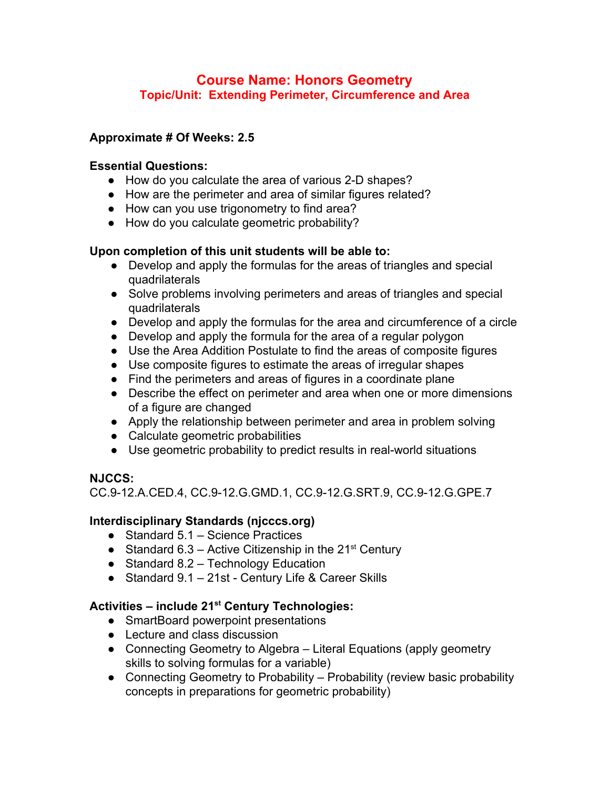## **Course Name: Honors Geometry Topic/Unit: Extending Perimeter, Circumference and Area**

## **Approximate # Of Weeks: 2.5**

#### **Essential Questions:**

- How do you calculate the area of various 2-D shapes?
- How are the perimeter and area of similar figures related?
- How can you use trigonometry to find area?
- How do you calculate geometric probability?

#### **Upon completion of this unit students will be able to:**

- Develop and apply the formulas for the areas of triangles and special quadrilaterals
- Solve problems involving perimeters and areas of triangles and special quadrilaterals
- Develop and apply the formulas for the area and circumference of a circle
- Develop and apply the formula for the area of a regular polygon
- Use the Area Addition Postulate to find the areas of composite figures
- Use composite figures to estimate the areas of irregular shapes
- Find the perimeters and areas of figures in a coordinate plane
- Describe the effect on perimeter and area when one or more dimensions of a figure are changed
- Apply the relationship between perimeter and area in problem solving
- Calculate geometric probabilities
- Use geometric probability to predict results in real-world situations

#### **NJCCS:**

CC.9-12.A.CED.4, CC.9-12.G.GMD.1, CC.9-12.G.SRT.9, CC.9-12.G.GPE.7

## **Interdisciplinary Standards (njcccs.org)**

- Standard 5.1 Science Practices
- Standard 6.3 Active Citizenship in the  $21<sup>st</sup>$  Century
- Standard 8.2 Technology Education
- Standard 9.1 21st Century Life & Career Skills

## **Activities – include 21 st Century Technologies:**

- SmartBoard powerpoint presentations
- Lecture and class discussion
- Connecting Geometry to Algebra Literal Equations (apply geometry skills to solving formulas for a variable)
- Connecting Geometry to Probability Probability (review basic probability concepts in preparations for geometric probability)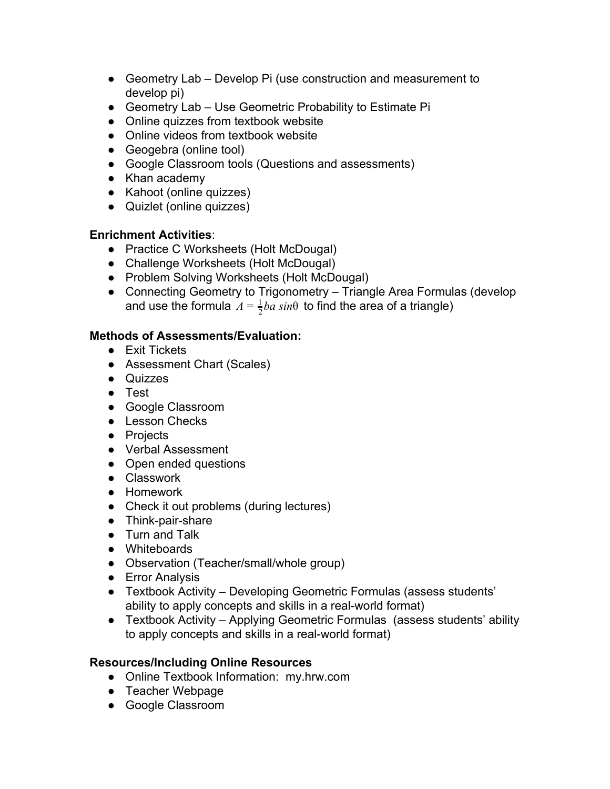- Geometry Lab Develop Pi (use construction and measurement to develop pi)
- Geometry Lab Use Geometric Probability to Estimate Pi
- Online quizzes from textbook website
- Online videos from textbook website
- Geogebra (online tool)
- Google Classroom tools (Questions and assessments)
- Khan academy
- Kahoot (online quizzes)
- Quizlet (online quizzes)

## **Enrichment Activities**:

- Practice C Worksheets (Holt McDougal)
- Challenge Worksheets (Holt McDougal)
- Problem Solving Worksheets (Holt McDougal)
- Connecting Geometry to Trigonometry Triangle Area Formulas (develop and use the formula  $A = \frac{1}{2}ba \, sin\theta$  to find the area of a triangle)

## **Methods of Assessments/Evaluation:**

- Exit Tickets
- Assessment Chart (Scales)
- Quizzes
- Test
- Google Classroom
- Lesson Checks
- Projects
- Verbal Assessment
- Open ended questions
- Classwork
- Homework
- Check it out problems (during lectures)
- Think-pair-share
- Turn and Talk
- Whiteboards
- Observation (Teacher/small/whole group)
- Error Analysis
- Textbook Activity Developing Geometric Formulas (assess students' ability to apply concepts and skills in a real-world format)
- Textbook Activity Applying Geometric Formulas (assess students' ability to apply concepts and skills in a real-world format)

## **Resources/Including Online Resources**

- Online Textbook Information: my.hrw.com
- Teacher Webpage
- Google Classroom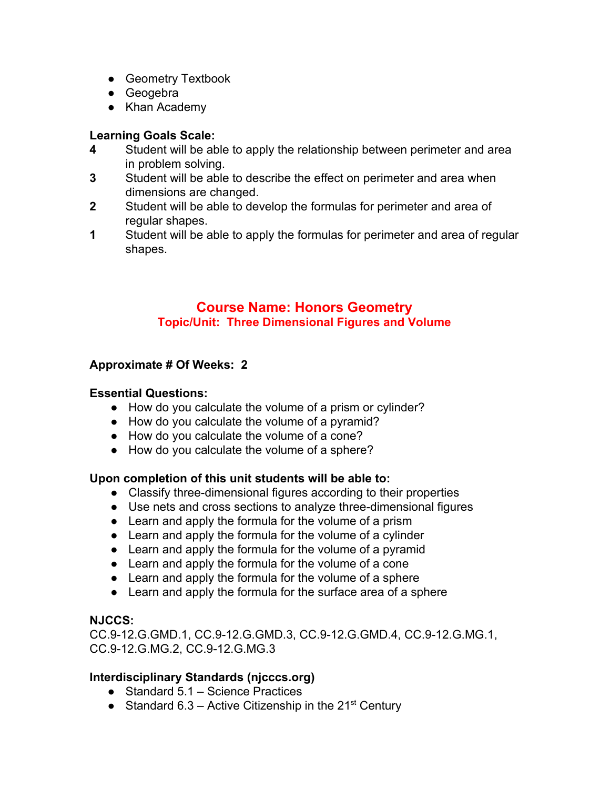- Geometry Textbook
- Geogebra
- Khan Academy

# **Learning Goals Scale:**

- **4** Student will be able to apply the relationship between perimeter and area in problem solving.
- **3** Student will be able to describe the effect on perimeter and area when dimensions are changed.
- **2** Student will be able to develop the formulas for perimeter and area of regular shapes.
- **1** Student will be able to apply the formulas for perimeter and area of regular shapes.

## **Course Name: Honors Geometry Topic/Unit: Three Dimensional Figures and Volume**

## **Approximate # Of Weeks: 2**

## **Essential Questions:**

- How do you calculate the volume of a prism or cylinder?
- How do you calculate the volume of a pyramid?
- How do you calculate the volume of a cone?
- How do you calculate the volume of a sphere?

## **Upon completion of this unit students will be able to:**

- Classify three-dimensional figures according to their properties
- Use nets and cross sections to analyze three-dimensional figures
- Learn and apply the formula for the volume of a prism
- Learn and apply the formula for the volume of a cylinder
- Learn and apply the formula for the volume of a pyramid
- Learn and apply the formula for the volume of a cone
- Learn and apply the formula for the volume of a sphere
- Learn and apply the formula for the surface area of a sphere

## **NJCCS:**

CC.9-12.G.GMD.1, CC.9-12.G.GMD.3, CC.9-12.G.GMD.4, CC.9-12.G.MG.1, CC.9-12.G.MG.2, CC.9-12.G.MG.3

## **Interdisciplinary Standards (njcccs.org)**

- Standard 5.1 Science Practices
- Standard 6.3 Active Citizenship in the  $21^{st}$  Century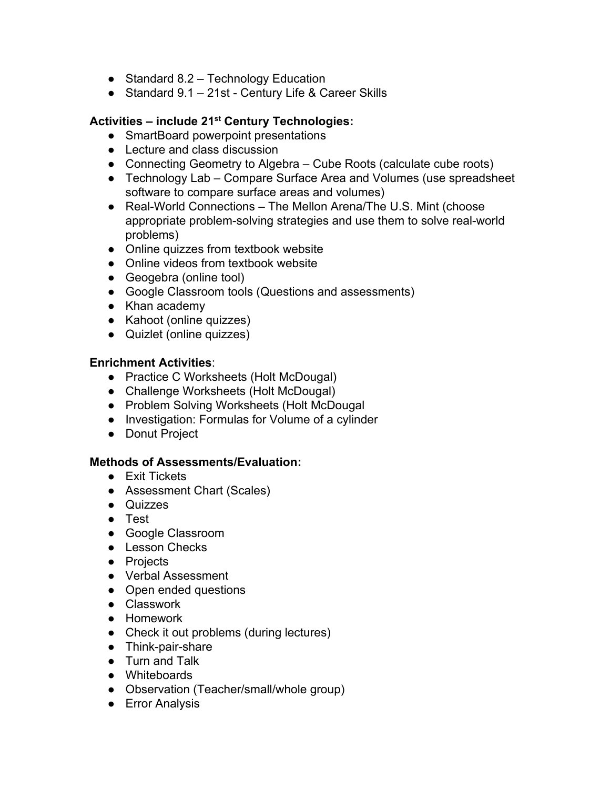- Standard 8.2 Technology Education
- Standard 9.1 21st Century Life & Career Skills

## **Activities – include 21 st Century Technologies:**

- SmartBoard powerpoint presentations
- Lecture and class discussion
- Connecting Geometry to Algebra Cube Roots (calculate cube roots)
- Technology Lab Compare Surface Area and Volumes (use spreadsheet software to compare surface areas and volumes)
- Real-World Connections The Mellon Arena/The U.S. Mint (choose appropriate problem-solving strategies and use them to solve real-world problems)
- Online quizzes from textbook website
- Online videos from textbook website
- Geogebra (online tool)
- Google Classroom tools (Questions and assessments)
- Khan academy
- Kahoot (online quizzes)
- Quizlet (online quizzes)

#### **Enrichment Activities**:

- Practice C Worksheets (Holt McDougal)
- Challenge Worksheets (Holt McDougal)
- Problem Solving Worksheets (Holt McDougal
- Investigation: Formulas for Volume of a cylinder
- Donut Project

#### **Methods of Assessments/Evaluation:**

- Exit Tickets
- Assessment Chart (Scales)
- Quizzes
- Test
- Google Classroom
- Lesson Checks
- Projects
- Verbal Assessment
- Open ended questions
- Classwork
- Homework
- Check it out problems (during lectures)
- Think-pair-share
- Turn and Talk
- Whiteboards
- Observation (Teacher/small/whole group)
- Error Analysis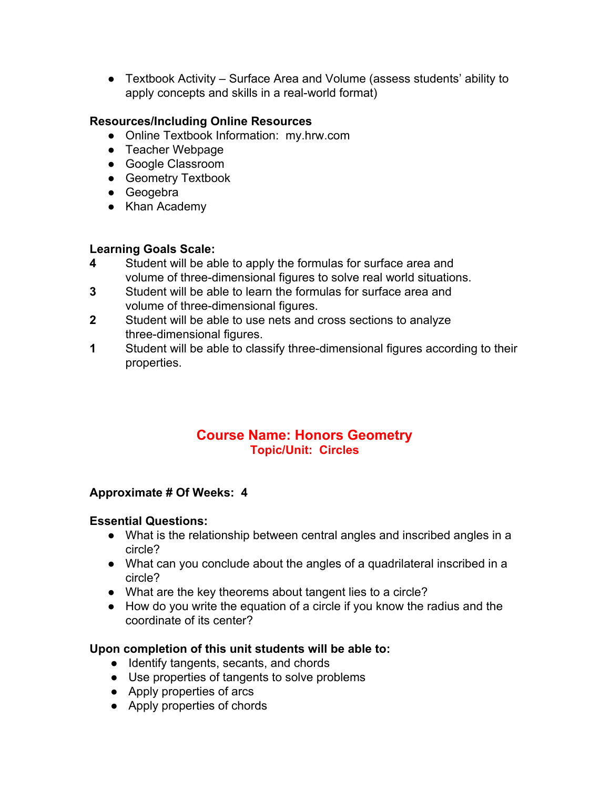● Textbook Activity – Surface Area and Volume (assess students' ability to apply concepts and skills in a real-world format)

## **Resources/Including Online Resources**

- Online Textbook Information: my.hrw.com
- Teacher Webpage
- Google Classroom
- Geometry Textbook
- Geogebra
- Khan Academy

# **Learning Goals Scale:**

- **4** Student will be able to apply the formulas for surface area and volume of three-dimensional figures to solve real world situations.
- **3** Student will be able to learn the formulas for surface area and volume of three-dimensional figures.
- **2** Student will be able to use nets and cross sections to analyze three-dimensional figures.
- **1** Student will be able to classify three-dimensional figures according to their properties.

## **Course Name: Honors Geometry Topic/Unit: Circles**

## **Approximate # Of Weeks: 4**

#### **Essential Questions:**

- What is the relationship between central angles and inscribed angles in a circle?
- What can you conclude about the angles of a quadrilateral inscribed in a circle?
- What are the key theorems about tangent lies to a circle?
- How do you write the equation of a circle if you know the radius and the coordinate of its center?

#### **Upon completion of this unit students will be able to:**

- Identify tangents, secants, and chords
- Use properties of tangents to solve problems
- Apply properties of arcs
- Apply properties of chords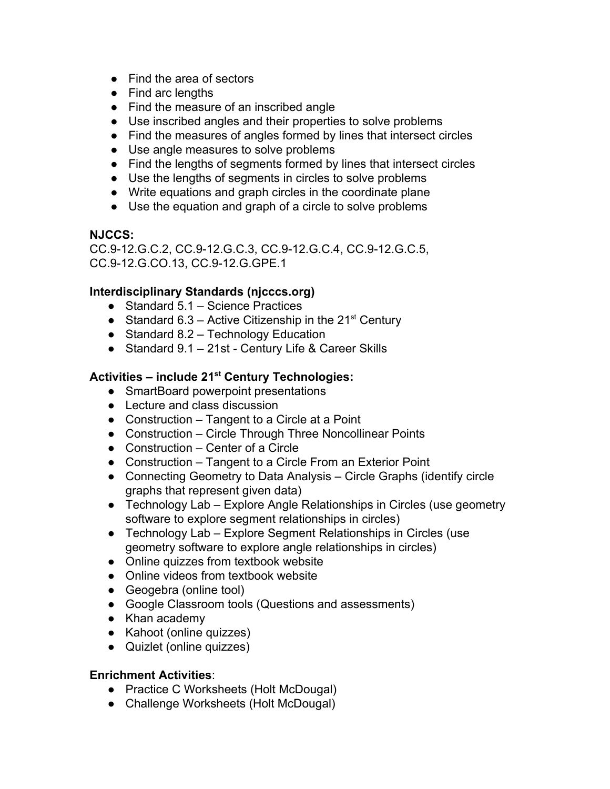- Find the area of sectors
- Find arc lengths
- Find the measure of an inscribed angle
- Use inscribed angles and their properties to solve problems
- Find the measures of angles formed by lines that intersect circles
- Use angle measures to solve problems
- Find the lengths of segments formed by lines that intersect circles
- Use the lengths of segments in circles to solve problems
- Write equations and graph circles in the coordinate plane
- Use the equation and graph of a circle to solve problems

#### **NJCCS:**

CC.9-12.G.C.2, CC.9-12.G.C.3, CC.9-12.G.C.4, CC.9-12.G.C.5, CC.9-12.G.CO.13, CC.9-12.G.GPE.1

## **Interdisciplinary Standards (njcccs.org)**

- Standard 5.1 Science Practices
- Standard 6.3 Active Citizenship in the  $21^{st}$  Century
- $\bullet$  Standard 8.2 Technology Education
- Standard 9.1 21st Century Life & Career Skills

## **Activities – include 21 st Century Technologies:**

- SmartBoard powerpoint presentations
- Lecture and class discussion
- Construction Tangent to a Circle at a Point
- Construction Circle Through Three Noncollinear Points
- Construction Center of a Circle
- Construction Tangent to a Circle From an Exterior Point
- Connecting Geometry to Data Analysis Circle Graphs (identify circle graphs that represent given data)
- Technology Lab Explore Angle Relationships in Circles (use geometry software to explore segment relationships in circles)
- Technology Lab Explore Segment Relationships in Circles (use geometry software to explore angle relationships in circles)
- Online quizzes from textbook website
- Online videos from textbook website
- Geogebra (online tool)
- Google Classroom tools (Questions and assessments)
- Khan academy
- Kahoot (online quizzes)
- Quizlet (online quizzes)

#### **Enrichment Activities**:

- Practice C Worksheets (Holt McDougal)
- Challenge Worksheets (Holt McDougal)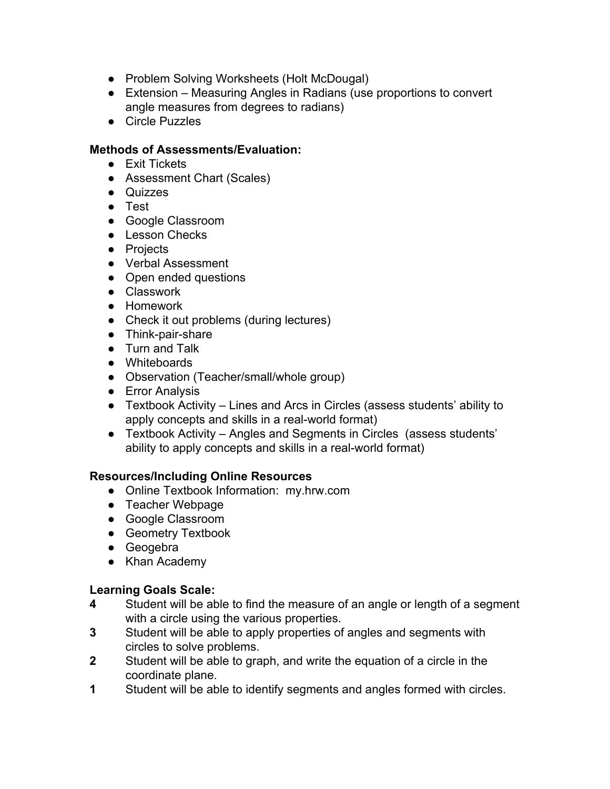- Problem Solving Worksheets (Holt McDougal)
- Extension Measuring Angles in Radians (use proportions to convert angle measures from degrees to radians)
- Circle Puzzles

#### **Methods of Assessments/Evaluation:**

- Exit Tickets
- Assessment Chart (Scales)
- Quizzes
- Test
- Google Classroom
- Lesson Checks
- Projects
- Verbal Assessment
- Open ended questions
- Classwork
- Homework
- Check it out problems (during lectures)
- Think-pair-share
- Turn and Talk
- Whiteboards
- Observation (Teacher/small/whole group)
- Error Analysis
- Textbook Activity Lines and Arcs in Circles (assess students' ability to apply concepts and skills in a real-world format)
- Textbook Activity Angles and Segments in Circles (assess students' ability to apply concepts and skills in a real-world format)

#### **Resources/Including Online Resources**

- Online Textbook Information: my.hrw.com
- Teacher Webpage
- Google Classroom
- **•** Geometry Textbook
- Geogebra
- Khan Academy

- **4** Student will be able to find the measure of an angle or length of a segment with a circle using the various properties.
- **3** Student will be able to apply properties of angles and segments with circles to solve problems.
- **2** Student will be able to graph, and write the equation of a circle in the coordinate plane.
- **1** Student will be able to identify segments and angles formed with circles.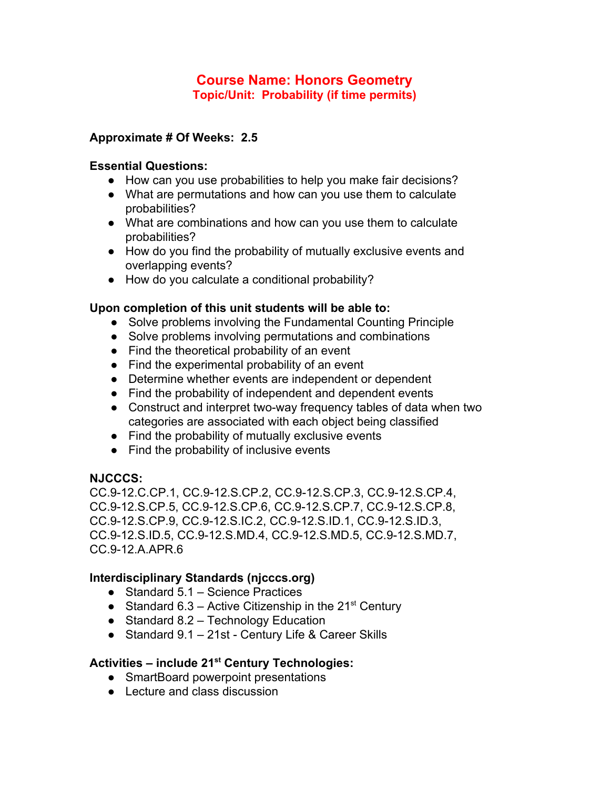## **Course Name: Honors Geometry Topic/Unit: Probability (if time permits)**

#### **Approximate # Of Weeks: 2.5**

#### **Essential Questions:**

- How can you use probabilities to help you make fair decisions?
- What are permutations and how can you use them to calculate probabilities?
- What are combinations and how can you use them to calculate probabilities?
- How do you find the probability of mutually exclusive events and overlapping events?
- How do you calculate a conditional probability?

#### **Upon completion of this unit students will be able to:**

- Solve problems involving the Fundamental Counting Principle
- Solve problems involving permutations and combinations
- Find the theoretical probability of an event
- Find the experimental probability of an event
- Determine whether events are independent or dependent
- Find the probability of independent and dependent events
- Construct and interpret two-way frequency tables of data when two categories are associated with each object being classified
- Find the probability of mutually exclusive events
- Find the probability of inclusive events

#### **NJCCCS:**

CC.9-12.C.CP.1, CC.9-12.S.CP.2, CC.9-12.S.CP.3, CC.9-12.S.CP.4, CC.9-12.S.CP.5, CC.9-12.S.CP.6, CC.9-12.S.CP.7, CC.9-12.S.CP.8, CC.9-12.S.CP.9, CC.9-12.S.IC.2, CC.9-12.S.ID.1, CC.9-12.S.ID.3, CC.9-12.S.ID.5, CC.9-12.S.MD.4, CC.9-12.S.MD.5, CC.9-12.S.MD.7, CC.9-12.A.APR.6

## **Interdisciplinary Standards (njcccs.org)**

- Standard 5.1 Science Practices
- Standard 6.3 Active Citizenship in the  $21^{st}$  Century
- Standard 8.2 Technology Education
- Standard 9.1 21st Century Life & Career Skills

## **Activities – include 21 st Century Technologies:**

- SmartBoard powerpoint presentations
- Lecture and class discussion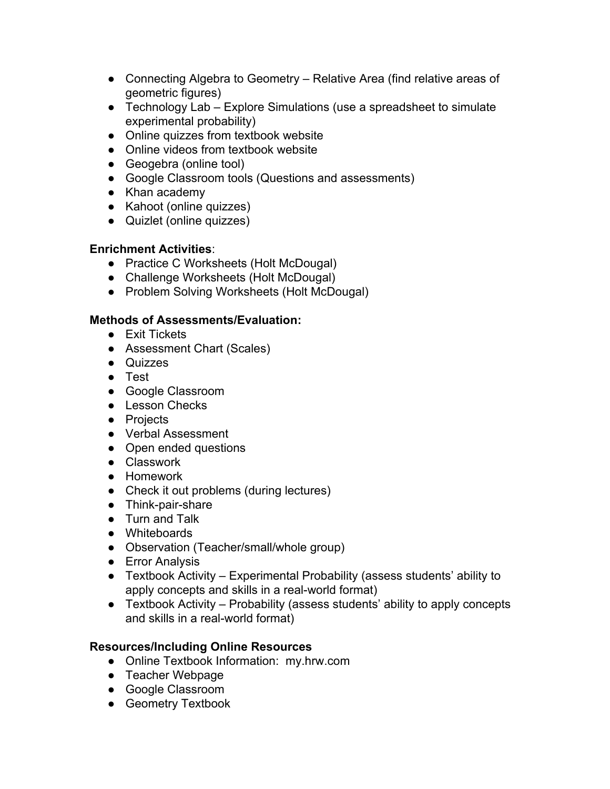- Connecting Algebra to Geometry Relative Area (find relative areas of geometric figures)
- Technology Lab Explore Simulations (use a spreadsheet to simulate experimental probability)
- Online quizzes from textbook website
- Online videos from textbook website
- Geogebra (online tool)
- Google Classroom tools (Questions and assessments)
- Khan academy
- Kahoot (online quizzes)
- Quizlet (online quizzes)

#### **Enrichment Activities**:

- Practice C Worksheets (Holt McDougal)
- Challenge Worksheets (Holt McDougal)
- Problem Solving Worksheets (Holt McDougal)

## **Methods of Assessments/Evaluation:**

- Exit Tickets
- Assessment Chart (Scales)
- Quizzes
- Test
- Google Classroom
- Lesson Checks
- Projects
- Verbal Assessment
- Open ended questions
- Classwork
- Homework
- Check it out problems (during lectures)
- Think-pair-share
- Turn and Talk
- Whiteboards
- Observation (Teacher/small/whole group)
- Error Analysis
- Textbook Activity Experimental Probability (assess students' ability to apply concepts and skills in a real-world format)
- Textbook Activity Probability (assess students' ability to apply concepts and skills in a real-world format)

## **Resources/Including Online Resources**

- Online Textbook Information: my.hrw.com
- Teacher Webpage
- Google Classroom
- Geometry Textbook